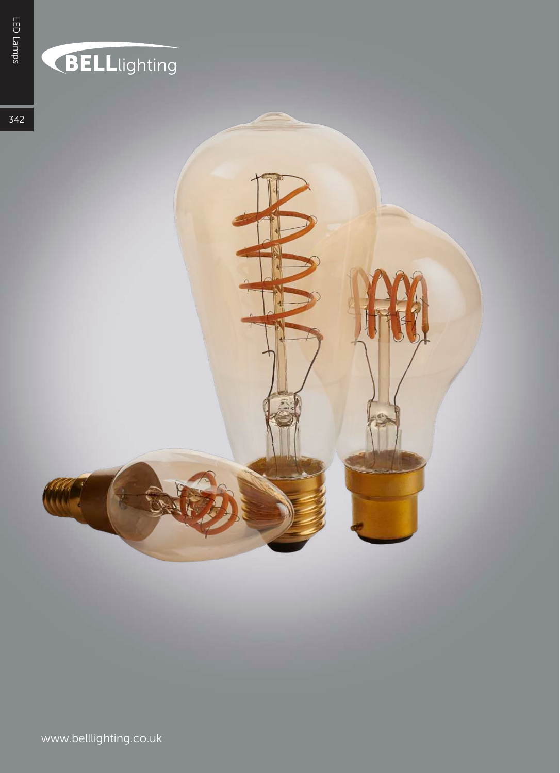## BELLlighting

342